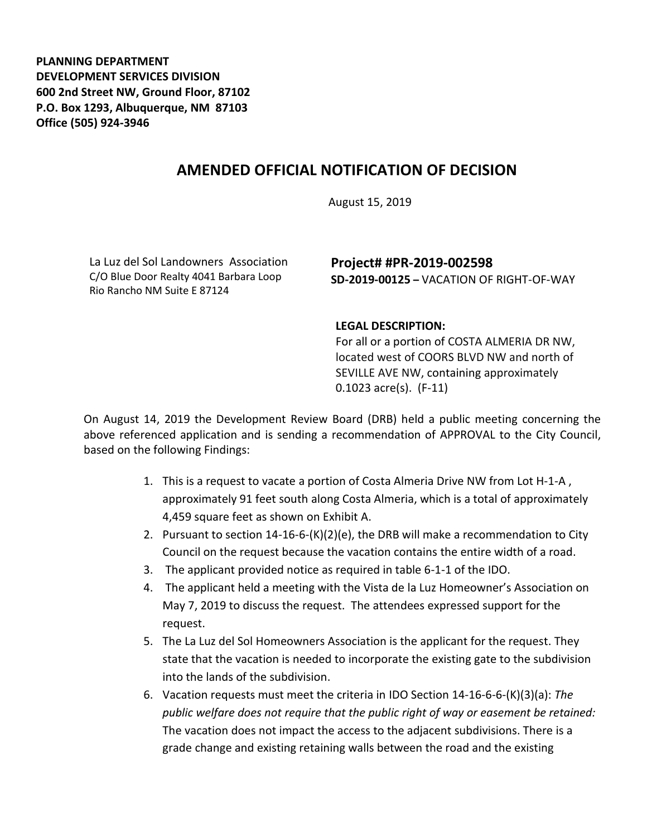**PLANNING DEPARTMENT DEVELOPMENT SERVICES DIVISION 600 2nd Street NW, Ground Floor, 87102 P.O. Box 1293, Albuquerque, NM 87103 Office (505) 924-3946** 

## **AMENDED OFFICIAL NOTIFICATION OF DECISION**

August 15, 2019

La Luz del Sol Landowners Association C/O Blue Door Realty 4041 Barbara Loop Rio Rancho NM Suite E 87124

## **Project# #PR-2019-002598 SD-2019-00125 –** VACATION OF RIGHT-OF-WAY

## **LEGAL DESCRIPTION:**

For all or a portion of COSTA ALMERIA DR NW, located west of COORS BLVD NW and north of SEVILLE AVE NW, containing approximately 0.1023 acre(s). (F-11)

On August 14, 2019 the Development Review Board (DRB) held a public meeting concerning the above referenced application and is sending a recommendation of APPROVAL to the City Council, based on the following Findings:

- 1. This is a request to vacate a portion of Costa Almeria Drive NW from Lot H-1-A , approximately 91 feet south along Costa Almeria, which is a total of approximately 4,459 square feet as shown on Exhibit A.
- 2. Pursuant to section 14-16-6-(K)(2)(e), the DRB will make a recommendation to City Council on the request because the vacation contains the entire width of a road.
- 3. The applicant provided notice as required in table 6-1-1 of the IDO.
- 4. The applicant held a meeting with the Vista de la Luz Homeowner's Association on May 7, 2019 to discuss the request. The attendees expressed support for the request.
- 5. The La Luz del Sol Homeowners Association is the applicant for the request. They state that the vacation is needed to incorporate the existing gate to the subdivision into the lands of the subdivision.
- 6. Vacation requests must meet the criteria in IDO Section 14-16-6-6-(K)(3)(a): *The public welfare does not require that the public right of way or easement be retained:* The vacation does not impact the access to the adjacent subdivisions. There is a grade change and existing retaining walls between the road and the existing